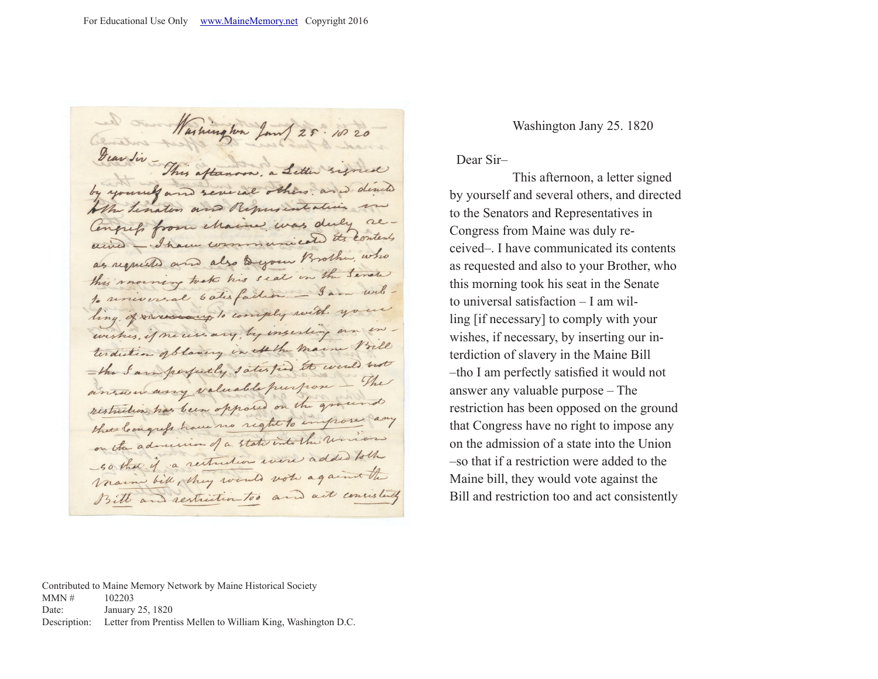Washington Jan 25. 1020 by yourself and several others and dead Who tination and Repussiontatives Congress from chaine was duly alained - I have communicated the contents as requested and also Dyour Brother, who this morning took his seat in the Senate to universal 6 atisfaction - Sam witling of reversery to comply with your wishes, if necessary, by inserting on interdition of blowing in Athe maine Vill - the I am perpetty satisfied to well not answer any valuable purpose - The restriction has been opposed on the ground these loongrep have no right to improve any on the admission of a state into the union so that if a restriction were added to the Name bill, they would vote against the Bill and restriction too and act consistently

Washington Jany 25. 1820

Dear Sir–

 This afternoon, a letter signed by yourself and several others, and directed to the Senators and Representatives in Congress from Maine was duly received–. I have communicated its contents as requested and also to your Brother, who this morning took his seat in the Senate to universal satisfaction – I am willing [if necessary] to comply with your wishes, if necessary, by inserting our interdiction of slavery in the Maine Bill –tho I am perfectly satisfied it would not answer any valuable purpose – The restriction has been opposed on the ground that Congress have no right to impose any on the admission of a state into the Union –so that if a restriction were added to the Maine bill, they would vote against the Bill and restriction too and act consistently

Contributed to Maine Memory Network by Maine Historical Society  $MMN \# 102203$ Date: January 25, 1820 Description: Letter from Prentiss Mellen to William King, Washington D.C.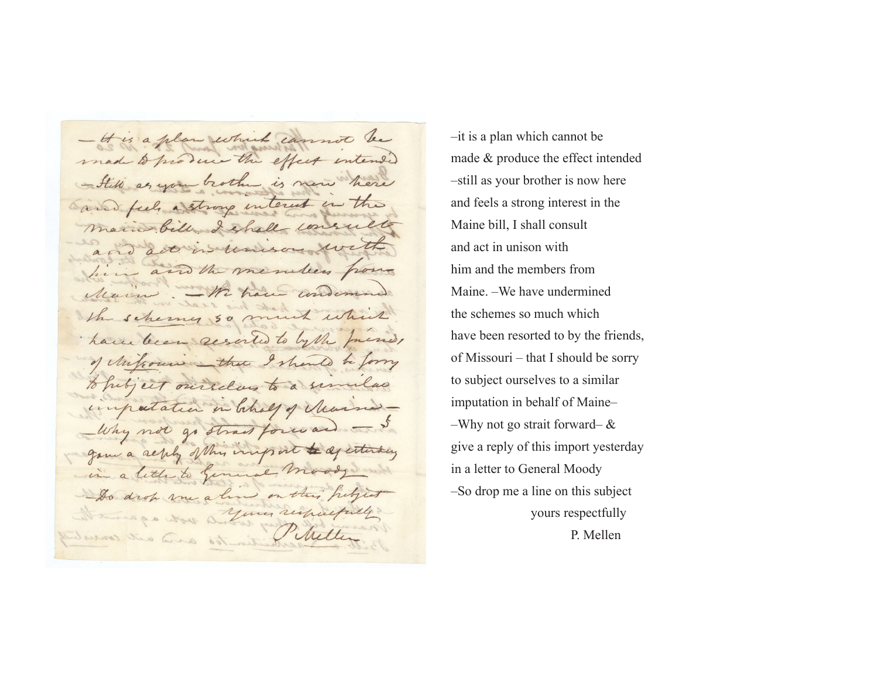- It is a plan which cannot be made to produce the effect intended - Still as you brother is new here and feel a strong interest in the main bill I shall consults activis unison with him and the members from Main .- We have undern the schemes 50 much which have been resorted to lythe friends of Milcours that I should be formy to perfect ourselves to a similar importation in behalf of Mussia-Why not go strait forward - I gove a seply of this import to aperturbing in a little to General moody and Do drop me aline on this helpest It mange was a your respectfully Phillips and and the Phillip

–it is a plan which cannot be made & produce the effect intended –still as your brother is now here and feels a strong interest in the Maine bill, I shall consult and act in unison with him and the members from Maine. –We have undermined the schemes so much which have been resorted to by the friends, of Missouri – that I should be sorry to subject ourselves to a similar imputation in behalf of Maine– –Why not go strait forward–  $\&$ give a reply of this import yesterday in a letter to General Moody –So drop me a line on this subject yours respectfully P. Mellen